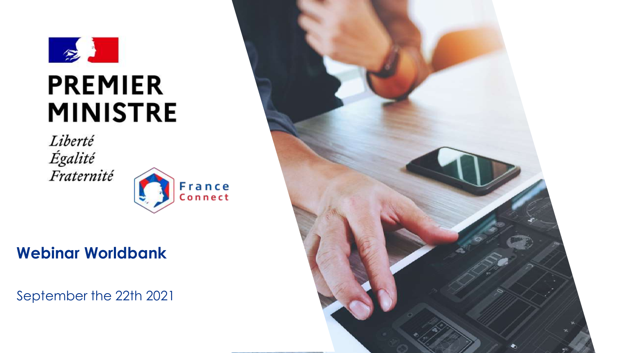

Liberté Égalité Fraternité



# **Webinar Worldbank**

September the 22th 2021

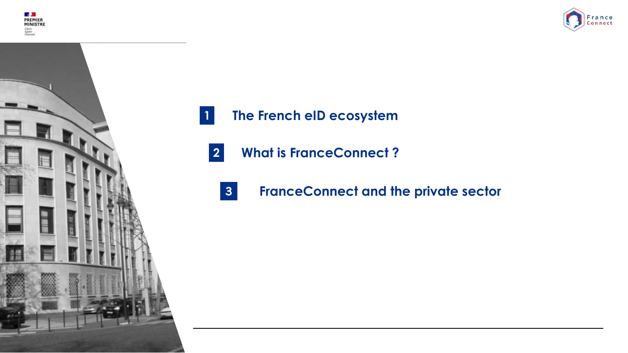





- **1 The French eID ecosystem**
	- **2 What is FranceConnect ?**
		- **3 FranceConnect and the private sector**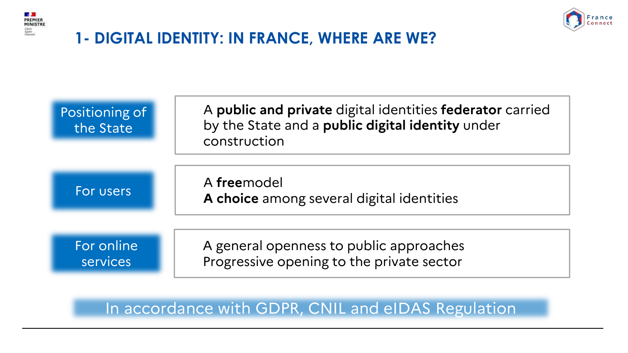



# **1- DIGITAL IDENTITY: IN FRANCE, WHERE ARE WE?**



### In accordance with GDPR, CNIL and eIDAS Regulation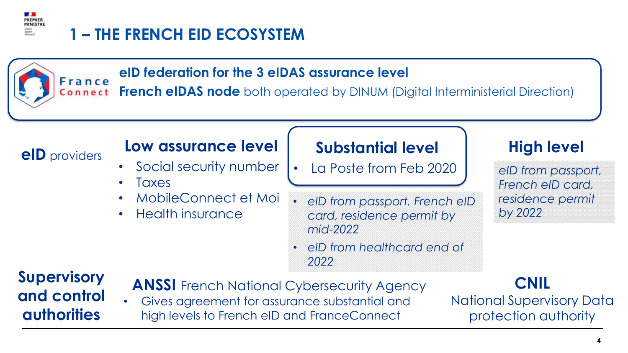

#### **eID federation for the 3 eIDAS assurance level** France

**French eIDAS node** both operated by DINUM (Digital Interministerial Direction) Connect

# **eID** providers **Low assurance level**

- Social security number
- **Taxes**
- MobileConnect et Moi
- Health insurance

## **Substantial level**

- La Poste from Feb 2020
- *eID from passport, French eID card, residence permit by mid-2022*
- *eID from healthcard end of 2022*

# **High level**

*eID from passport, French eID card, residence permit by 2022*

# **Supervisory and control authorities**

- **ANSSI** French National Cybersecurity Agency
- Gives agreement for assurance substantial and high levels to French eID and FranceConnect

# **CNIL**

National Supervisory Data protection authority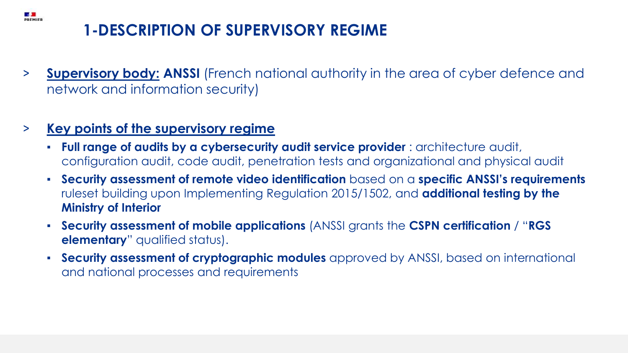# **1-DESCRIPTION OF SUPERVISORY REGIME**

> **Supervisory body: ANSSI** (French national authority in the area of cyber defence and network and information security)

### > **Key points of the supervisory regime**

**BASA**<br>PREMIER

- **Full range of audits by a cybersecurity audit service provider** : architecture audit, configuration audit, code audit, penetration tests and organizational and physical audit
- **Security assessment of remote video identification** based on a **specific ANSSI's requirements**  ruleset building upon Implementing Regulation 2015/1502, and **additional testing by the Ministry of Interior**
- **Security assessment of mobile applications** (ANSSI grants the **CSPN certification** / "**RGS elementary**" qualified status).
- **Security assessment of cryptographic modules** approved by ANSSI, based on international and national processes and requirements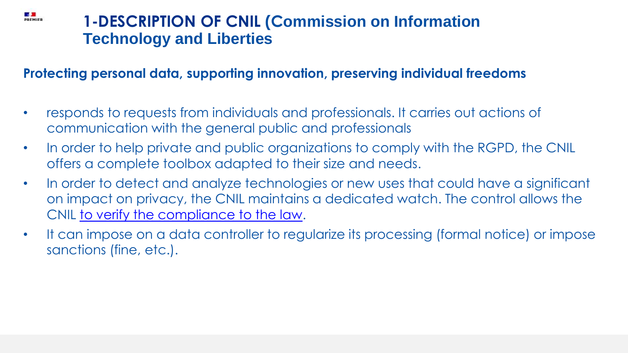# **1-DESCRIPTION OF CNIL (Commission on Information Technology and Liberties**

**ESTE**<br>PREMIER

### **Protecting personal data, supporting innovation, preserving individual freedoms**

- responds to requests from individuals and professionals. It carries out actions of communication with the general public and professionals
- In order to help private and public organizations to comply with the RGPD, the CNIL offers a complete toolbox adapted to their size and needs.
- In order to detect and analyze technologies or new uses that could have a significant on impact on privacy, the CNIL maintains a dedicated watch. The control allows the CNIL [to verify the compliance to the law](https://www.cnil.fr/en/investigation-powers-cnil).
- It can impose on a data controller to regularize its processing (formal notice) or impose sanctions (fine, etc.).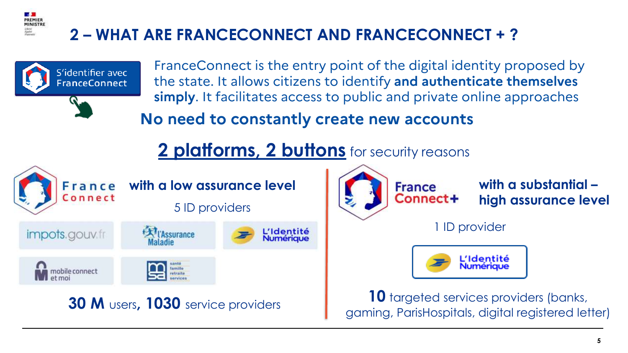# **2 – WHAT ARE FRANCECONNECT AND FRANCECONNECT + ?**



**Reduction** PREMIER



**with a substantial – high assurance level** 

1 ID provider



**30 M** users, **1030** service providers **10 10** targeted services providers (banks, gaming, ParisHospitals, digital registered letter)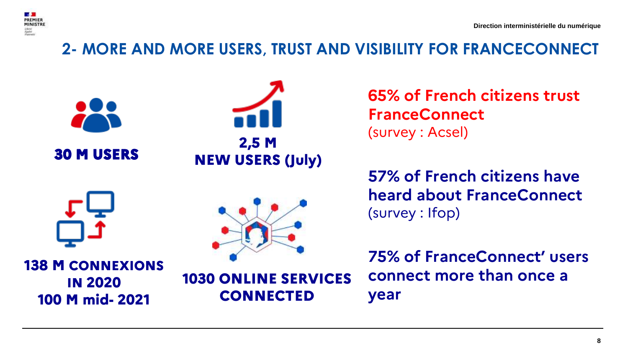

# **2- MORE AND MORE USERS, TRUST AND VISIBILITY FOR FRANCECONNECT**



**65% of French citizens trust FranceConnect** (survey : Acsel)

**57% of French citizens have heard about FranceConnect** (survey : Ifop)

**75% of FranceConnect' users connect more than once a year**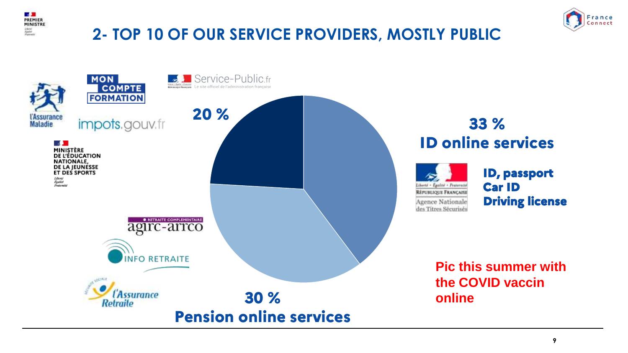

# **2- TOP 10 OF OUR SERVICE PROVIDERS, MOSTLY PUBLIC**



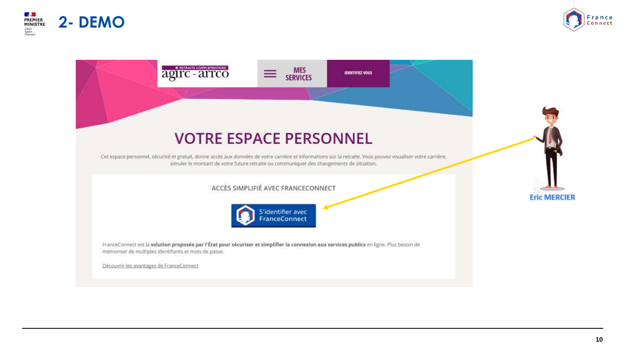





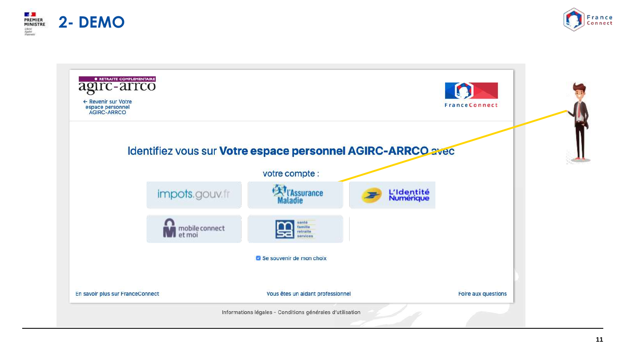



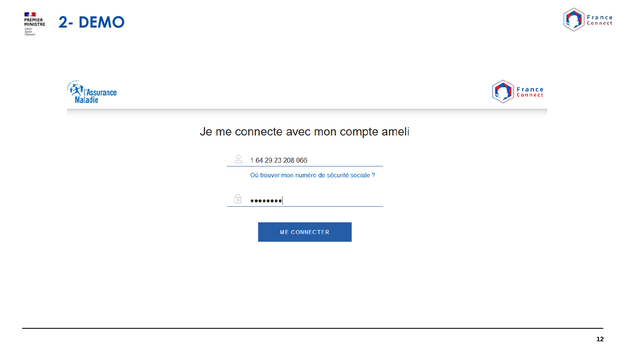







### Je me connecte avec mon compte ameli

|    | 1 64 29 23 208 066                         |
|----|--------------------------------------------|
|    | Où trouver mon numéro de sécurité sociale? |
| ç. |                                            |
|    |                                            |
|    | <b>ME CONNECTER</b>                        |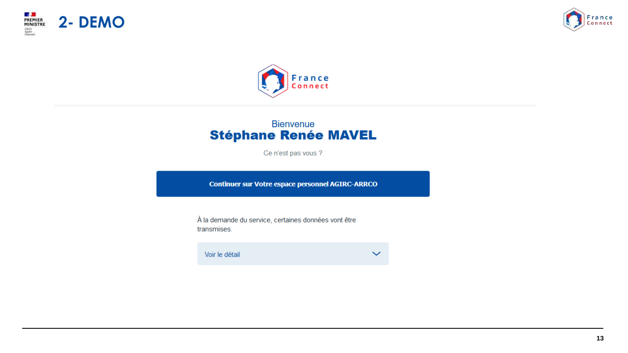





#### **Bienvenue Stéphane Renée MAVEL**

Ce n'est pas vous ?

**Continuer sur Votre espace personnel AGIRC-ARRCO** 

À la demande du service, certaines données vont être transmises.

Voir le détail  $\checkmark$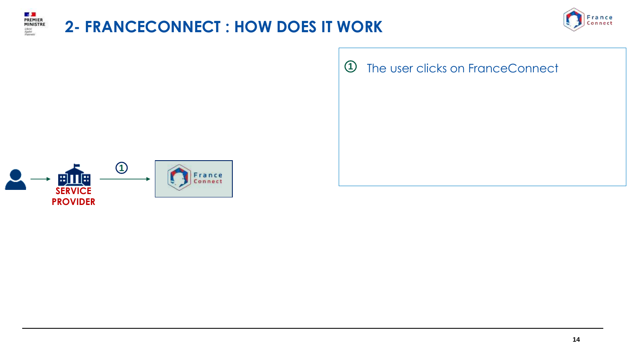

# **2- FRANCECONNECT : HOW DOES IT WORK**



**1** The user clicks on FranceConnect

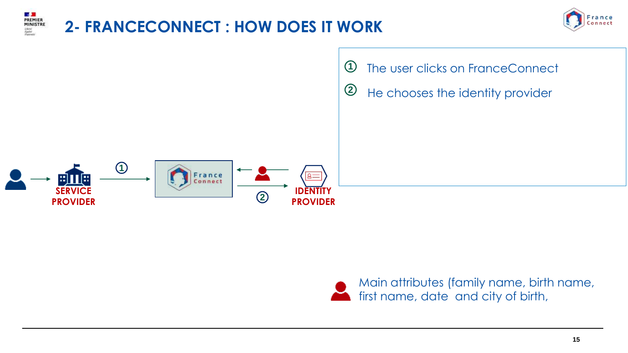



Main attributes (family name, birth name, first name, date and city of birth,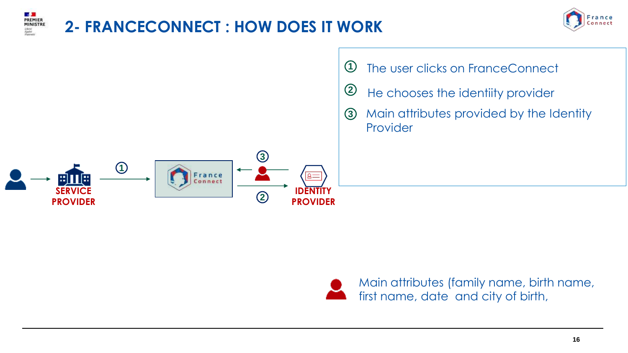







Main attributes (family name, birth name, first name, date and city of birth,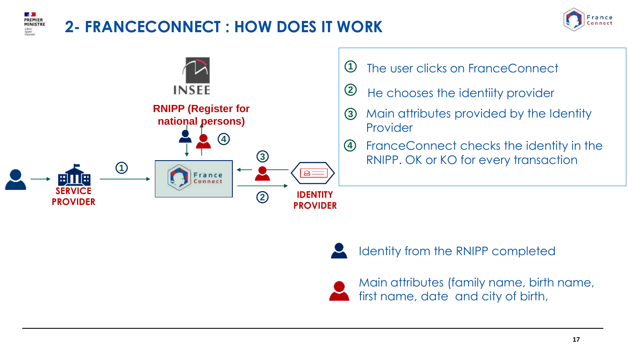

# **2- FRANCECONNECT : HOW DOES IT WORK**







Identity from the RNIPP completed



Main attributes (family name, birth name, first name, date and city of birth,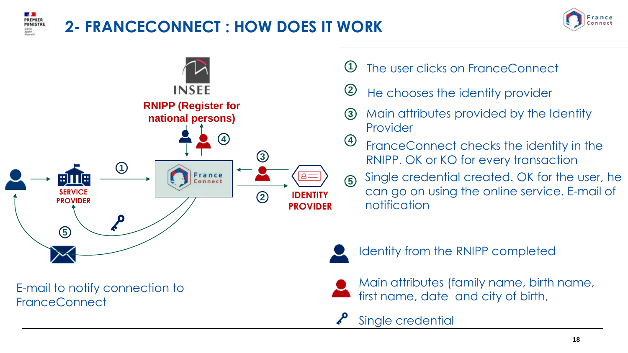

# **2- FRANCECONNECT : HOW DOES IT WORK**





E-mail to notify connection to **FranceConnect** 

- **1** The user clicks on FranceConnect
- **<sup>2</sup>** He chooses the identity provider
- **3** Main attributes provided by the Identity Provider
- **4** FranceConnect checks the identity in the RNIPP. OK or KO for every transaction
- **5** Single credential created. OK for the user, he can go on using the online service. E-mail of notification



Identity from the RNIPP completed



Main attributes (family name, birth name, first name, date and city of birth,

Single credential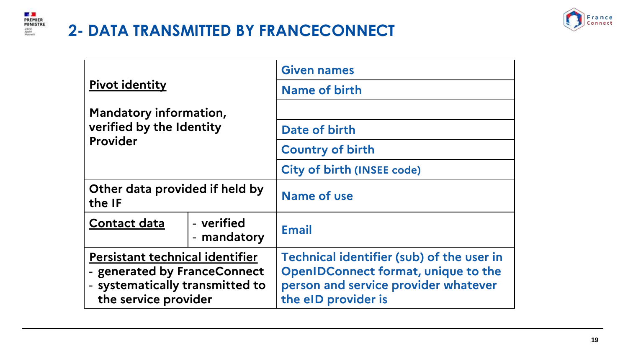

# **2- DATA TRANSMITTED BY FRANCECONNECT**



|                                                                                                                            |                           | <b>Given names</b>                                                                                                                                     |
|----------------------------------------------------------------------------------------------------------------------------|---------------------------|--------------------------------------------------------------------------------------------------------------------------------------------------------|
| <b>Pivot identity</b>                                                                                                      |                           | Name of birth                                                                                                                                          |
| Mandatory information,                                                                                                     |                           |                                                                                                                                                        |
| verified by the Identity                                                                                                   |                           | Date of birth                                                                                                                                          |
| <b>Provider</b>                                                                                                            |                           | <b>Country of birth</b>                                                                                                                                |
|                                                                                                                            |                           | <b>City of birth (INSEE code)</b>                                                                                                                      |
| Other data provided if held by<br>the IF                                                                                   |                           | Name of use                                                                                                                                            |
| <b>Contact data</b>                                                                                                        | - verified<br>- mandatory | <b>Email</b>                                                                                                                                           |
| Persistant technical identifier<br>- generated by FranceConnect<br>- systematically transmitted to<br>the service provider |                           | Technical identifier (sub) of the user in<br><b>OpenIDConnect format, unique to the</b><br>person and service provider whatever<br>the eID provider is |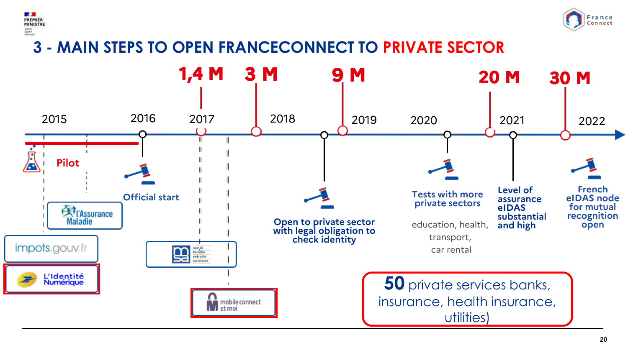



# **3 - MAIN STEPS TO OPEN FRANCECONNECT TO PRIVATE SECTOR**

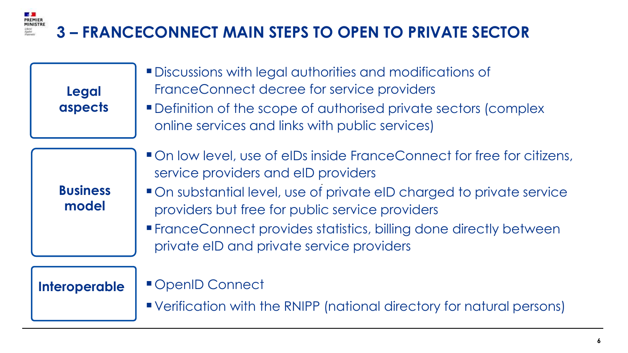### **ES SE**<br>PREMIER<br>MINISTRE **3 – FRANCECONNECT MAIN STEPS TO OPEN TO PRIVATE SECTOR**

Scherel<br>Egalor<br>Voznovice

| <b>Legal</b><br>aspects  | <b>Discussions with legal authorities and modifications of</b><br>FranceConnect decree for service providers<br>• Definition of the scope of authorised private sectors (complex<br>online services and links with public services)                                                                                                                              |
|--------------------------|------------------------------------------------------------------------------------------------------------------------------------------------------------------------------------------------------------------------------------------------------------------------------------------------------------------------------------------------------------------|
| <b>Business</b><br>model | On low level, use of elDs inside FranceConnect for free for citizens,<br>service providers and eID providers<br>• On substantial level, use of private eID charged to private service<br>providers but free for public service providers<br><b>FranceConnect provides statistics, billing done directly between</b><br>private eID and private service providers |
| <b>Interoperable</b>     | OpenID Connect<br>"Verification with the RNIPP (national directory for natural persons)                                                                                                                                                                                                                                                                          |